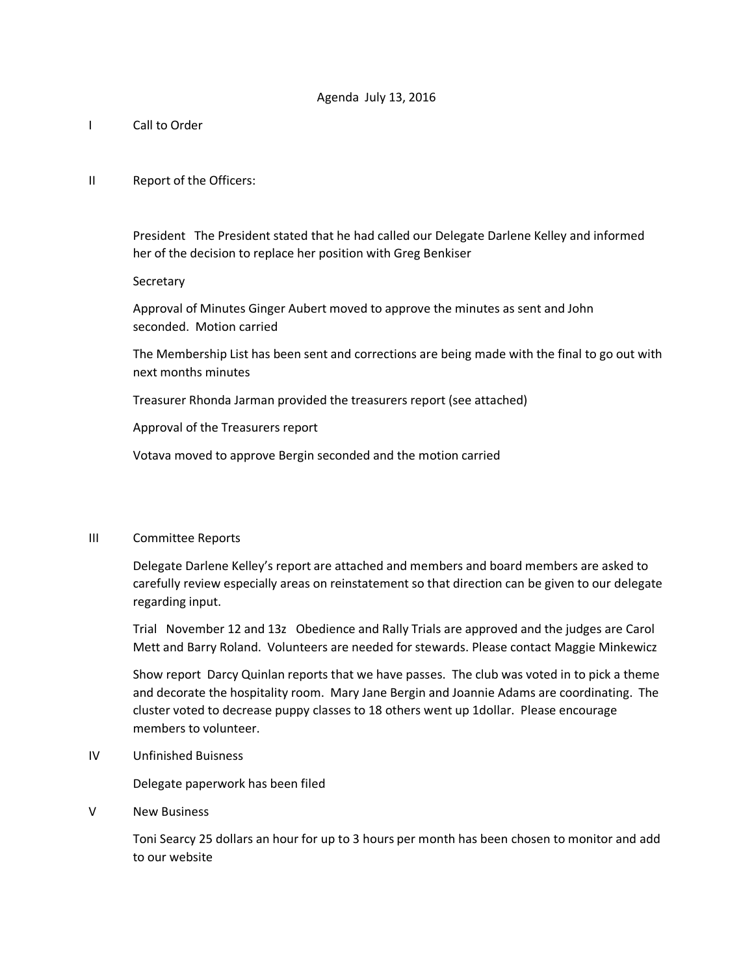- I Call to Order
- II Report of the Officers:

President The President stated that he had called our Delegate Darlene Kelley and informed her of the decision to replace her position with Greg Benkiser

**Secretary** 

Approval of Minutes Ginger Aubert moved to approve the minutes as sent and John seconded. Motion carried

The Membership List has been sent and corrections are being made with the final to go out with next months minutes

Treasurer Rhonda Jarman provided the treasurers report (see attached)

Approval of the Treasurers report

Votava moved to approve Bergin seconded and the motion carried

## III Committee Reports

Delegate Darlene Kelley's report are attached and members and board members are asked to carefully review especially areas on reinstatement so that direction can be given to our delegate regarding input.

Trial November 12 and 13z Obedience and Rally Trials are approved and the judges are Carol Mett and Barry Roland. Volunteers are needed for stewards. Please contact Maggie Minkewicz

Show report Darcy Quinlan reports that we have passes. The club was voted in to pick a theme and decorate the hospitality room. Mary Jane Bergin and Joannie Adams are coordinating. The cluster voted to decrease puppy classes to 18 others went up 1dollar. Please encourage members to volunteer.

## IV Unfinished Buisness

Delegate paperwork has been filed

V New Business

Toni Searcy 25 dollars an hour for up to 3 hours per month has been chosen to monitor and add to our website